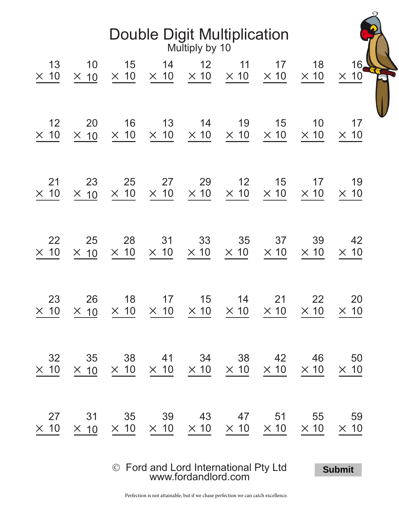| <b>Double Digit Multiplication</b><br>Multiply by 10 |                   |             |                                                                                                                               |                 |             |             |                   |                   |  |  |  |  |
|------------------------------------------------------|-------------------|-------------|-------------------------------------------------------------------------------------------------------------------------------|-----------------|-------------|-------------|-------------------|-------------------|--|--|--|--|
| 13                                                   | 10                | 15          | 14                                                                                                                            | 12 <sup>2</sup> | 11          | 17          | 18                | 16 <sub>2</sub>   |  |  |  |  |
| $\times$ 10                                          | $\times$ 10       | $\times$ 10 | $\times$ 10                                                                                                                   | $\times$ 10     | $\times$ 10 | $\times$ 10 | $\times$ 10       | $\times$ 10       |  |  |  |  |
| 12                                                   | 20                | 16          | 13                                                                                                                            | 14              | 19          | 15          | 10                | 17                |  |  |  |  |
| $\times$ 10                                          | $\times$ 10       | $\times$ 10 | $\times$ 10                                                                                                                   | $\times$ 10     | $\times$ 10 | $\times$ 10 | $\times$ 10       | $\times$ 10       |  |  |  |  |
| 21                                                   | 23                | 25          | 27                                                                                                                            | 29              | 12          | 15          | 17                | 19                |  |  |  |  |
| $\times$ 10                                          | $\times$ 10       | $\times$ 10 | $\times$ 10                                                                                                                   | $\times$ 10     | $\times$ 10 | $\times$ 10 | $\times$ 10       | $\times$ 10       |  |  |  |  |
| 22                                                   | 25                | 28          | 31                                                                                                                            | 33              | 35          | 37          | 39                | 42                |  |  |  |  |
| $\times$ 10                                          | $\times$ 10       | $\times$ 10 | $\times$ 10                                                                                                                   | $\times$ 10     | $\times$ 10 | $\times$ 10 | $\times$ 10       | $\times$ 10       |  |  |  |  |
| 23                                                   | 26                | 18          | 17<br>$\times$ 10 $\times$ 10 $\times$ 10 $\times$ 10 $\times$ 10 $\times$ 10 $\times$ 10                                     | 15              | 14          | 21          | 22<br>$\times$ 10 | 20<br>$\times$ 10 |  |  |  |  |
| 32                                                   | 35                |             | 38 41 34 38 42<br>$\times$ 10 $\times$ 10 $\times$ 10 $\times$ 10 $\times$ 10 $\times$ 10 $\times$ 10 $\times$ 10 $\times$ 10 |                 |             |             | 46                | 50<br>$\times$ 10 |  |  |  |  |
| 27<br>$\times$ 10                                    | 31<br>$\times$ 10 |             | 35 39 43 47 51 55<br>$\times$ 10 $\times$ 10 $\times$ 10 $\times$ 10 $\times$ 10                                              |                 |             |             | $\times$ 10       | 59<br>$\times$ 10 |  |  |  |  |

Ó Ford and Lord International Pty Ltd [www.fordandlord.com](http://www.fordandlord.com)

**Submit**

JP

Perfection is not attainable, but if we chase perfection we can catch excellence.